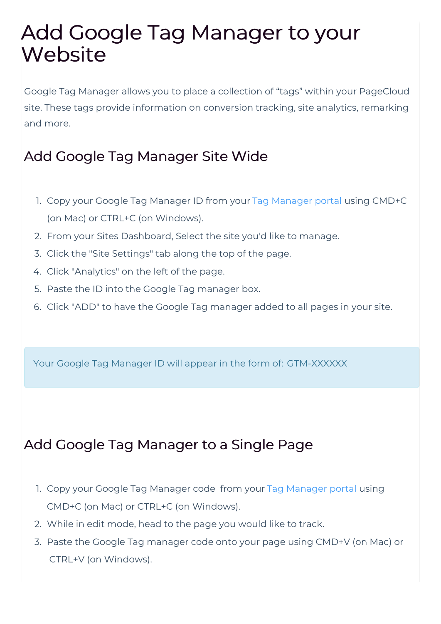## Add Google Tag Manager to your **Website**

Google Tag Manager allows you to place a collection of "tags" within your PageCloud site. These tags provide information on conversion tracking, site analytics, remarking and more.

## Add Google Tag Manager Site Wide

- 1. Copy your Google Tag Manager ID from your Tag Manager portal using CMD+C (on Mac) or CTRL+C (on Windows).
- 2. From your Sites Dashboard, Select the site you'd like to manage.
- 3. Click the "Site Settings" tab along the top of the page.
- 4. Click "Analytics" on the left of the page.
- 5. Paste the ID into the Google Tag manager box.
- 6. Click "ADD" to have the Google Tag manager added to all pages in your site.

Your Google Tag Manager ID will appear in the form of: GTM-XXXXXX

## Add Google Tag Manager to a Single Page

- 1. Copy your Google Tag Manager code from your Tag Manager portal using CMD+C (on Mac) or CTRL+C (on Windows).
- 2. While in edit mode, head to the page you would like to track.
- 3. Paste the Google Tag manager code onto your page using CMD+V (on Mac) or CTRL+V (on Windows).